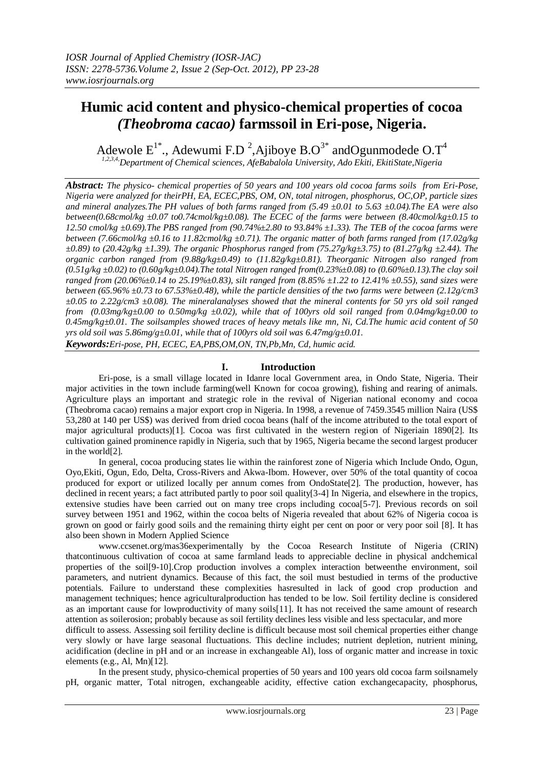# **Humic acid content and physico-chemical properties of cocoa**  *(Theobroma cacao)* **farmssoil in Eri-pose, Nigeria.**

Adewole  $E^{1^*}$ ., Adewumi F.D<sup>2</sup>, Ajiboye B.O<sup>3\*</sup> andOgunmodede O.T<sup>4</sup> *1,2,3,4,Department of Chemical sciences, AfeBabalola University, Ado Ekiti, EkitiState,Nigeria*

*Abstract: The physico- chemical properties of 50 years and 100 years old cocoa farms soils from Eri-Pose, Nigeria were analyzed for theirPH, EA, ECEC,PBS, OM, ON, total nitrogen, phosphorus, OC,OP, particle sizes and mineral analyzes.The PH values of both farms ranged from (5.49 ±0.01 to 5.63 ±0.04).The EA were also between(0.68cmol/kg ±0.07 to0.74cmol/kg±0.08). The ECEC of the farms were between (8.40cmol/kg±0.15 to 12.50 cmol/kg ±0.69).The PBS ranged from (90.74%±2.80 to 93.84% ±1.33). The TEB of the cocoa farms were between (7.66cmol/kg ±0.16 to 11.82cmol/kg ±0.71). The organic matter of both farms ranged from (17.02g/kg ±0.89) to (20.42g/kg ±1.39). The organic Phosphorus ranged from (75.27g/kg±3.75) to (81.27g/kg ±2.44). The organic carbon ranged from (9.88g/kg±0.49) to (11.82g/kg±0.81). Theorganic Nitrogen also ranged from (0.51g/kg ±0.02) to (0.60g/kg±0.04).The total Nitrogen ranged from(0.23%±0.08) to (0.60%±0.13).The clay soil ranged from (20.06%±0.14 to 25.19%±0.83), silt ranged from (8.85% ±1.22 to 12.41% ±0.55), sand sizes were between (65.96% ±0.73 to 67.53%±0.48), while the particle densities of the two farms were between (2.12g/cm3 ±0.05 to 2.22g/cm3 ±0.08). The mineralanalyses showed that the mineral contents for 50 yrs old soil ranged from (0.03mg/kg±0.00 to 0.50mg/kg ±0.02), while that of 100yrs old soil ranged from 0.04mg/kg±0.00 to 0.45mg/kg±0.01. The soilsamples showed traces of heavy metals like mn, Ni, Cd.The humic acid content of 50 yrs old soil was 5.86mg/g±0.01, while that of 100yrs old soil was 6.47mg/g±0.01.*

*Keywords:Eri-pose, PH, ECEC, EA,PBS,OM,ON, TN,Pb,Mn, Cd, humic acid.*

# **I. Introduction**

Eri-pose, is a small village located in Idanre local Government area, in Ondo State, Nigeria. Their major activities in the town include farming(well Known for cocoa growing), fishing and rearing of animals. Agriculture plays an important and strategic role in the revival of Nigerian national economy and cocoa (Theobroma cacao) remains a major export crop in Nigeria. In 1998, a revenue of 7459.3545 million Naira (US\$ 53,280 at 140 per US\$) was derived from dried cocoa beans (half of the income attributed to the total export of major agricultural products)[1]. Cocoa was first cultivated in the western region of Nigeriain 1890[2]. Its cultivation gained prominence rapidly in Nigeria, such that by 1965, Nigeria became the second largest producer in the world[2].

In general, cocoa producing states lie within the rainforest zone of Nigeria which Include Ondo, Ogun, Oyo,Ekiti, Ogun, Edo, Delta, Cross-Rivers and Akwa-Ibom. However, over 50% of the total quantity of cocoa produced for export or utilized locally per annum comes from OndoState[2]. The production, however, has declined in recent years; a fact attributed partly to poor soil quality[3-4] In Nigeria, and elsewhere in the tropics, extensive studies have been carried out on many tree crops including cocoa<sup>[5-7]</sup>. Previous records on soil survey between 1951 and 1962, within the cocoa belts of Nigeria revealed that about 62% of Nigeria cocoa is grown on good or fairly good soils and the remaining thirty eight per cent on poor or very poor soil [8]. It has also been shown in Modern Applied Science

www.ccsenet.org/mas36experimentally by the Cocoa Research Institute of Nigeria (CRIN) thatcontinuous cultivation of cocoa at same farmland leads to appreciable decline in physical andchemical properties of the soil[9-10].Crop production involves a complex interaction betweenthe environment, soil parameters, and nutrient dynamics. Because of this fact, the soil must bestudied in terms of the productive potentials. Failure to understand these complexities hasresulted in lack of good crop production and management techniques; hence agriculturalproduction has tended to be low. Soil fertility decline is considered as an important cause for lowproductivity of many soils[11]. It has not received the same amount of research attention as soilerosion; probably because as soil fertility declines less visible and less spectacular, and more

difficult to assess. Assessing soil fertility decline is difficult because most soil chemical properties either change very slowly or have large seasonal fluctuations. This decline includes; nutrient depletion, nutrient mining, acidification (decline in pH and or an increase in exchangeable Al), loss of organic matter and increase in toxic elements (e.g., Al, Mn)[12].

In the present study, physico-chemical properties of 50 years and 100 years old cocoa farm soilsnamely pH, organic matter, Total nitrogen, exchangeable acidity, effective cation exchangecapacity, phosphorus,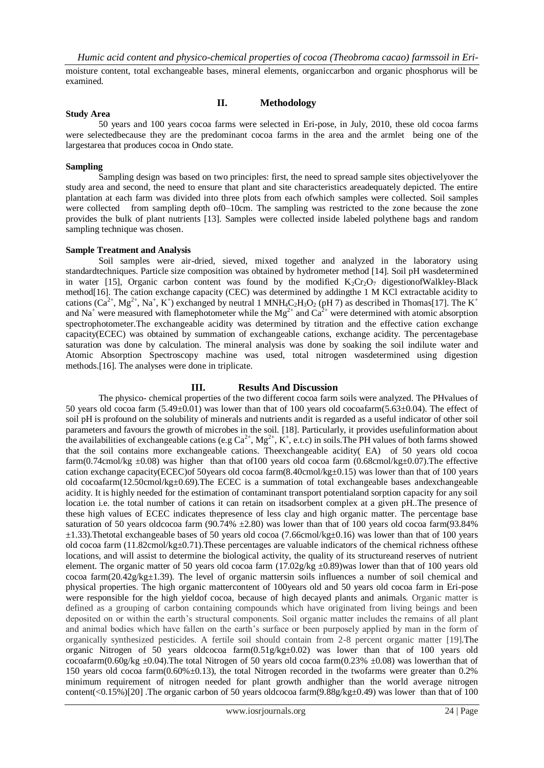moisture content, total exchangeable bases, mineral elements, organiccarbon and organic phosphorus will be examined.

## **II. Methodology**

# **Study Area**

50 years and 100 years cocoa farms were selected in Eri-pose, in July, 2010, these old cocoa farms were selectedbecause they are the predominant cocoa farms in the area and the armlet being one of the largestarea that produces cocoa in Ondo state.

### **Sampling**

Sampling design was based on two principles: first, the need to spread sample sites objectivelyover the study area and second, the need to ensure that plant and site characteristics areadequately depicted. The entire plantation at each farm was divided into three plots from each ofwhich samples were collected. Soil samples were collected from sampling depth of 0–10cm. The sampling was restricted to the zone because the zone provides the bulk of plant nutrients [13]. Samples were collected inside labeled polythene bags and random sampling technique was chosen.

#### **Sample Treatment and Analysis**

Soil samples were air-dried, sieved, mixed together and analyzed in the laboratory using standardtechniques. Particle size composition was obtained by hydrometer method [14]. Soil pH wasdetermined in water [15], Organic carbon content was found by the modified  $K_2Cr_2O_7$  digestionofWalkley-Black method[16]. The cation exchange capacity (CEC) was determined by addingthe 1 M KCl extractable acidity to cations  $(Ca^{2+}, Mg^{2+}, Na^+, K^+)$  exchanged by neutral 1 MNH<sub>4</sub>C<sub>2</sub>H<sub>3</sub>O<sub>2</sub> (pH 7) as described in Thomas[17]. The K<sup>+</sup> and Na<sup>+</sup> were measured with flamephotometer while the Mg<sup>2+</sup> and Ca<sup>2+</sup> were determined with atomic absorption spectrophotometer.The exchangeable acidity was determined by titration and the effective cation exchange capacity(ECEC) was obtained by summation of exchangeable cations, exchange acidity. The percentagebase saturation was done by calculation. The mineral analysis was done by soaking the soil indilute water and Atomic Absorption Spectroscopy machine was used, total nitrogen wasdetermined using digestion methods.[16]. The analyses were done in triplicate.

## **III. Results And Discussion**

The physico- chemical properties of the two different cocoa farm soils were analyzed. The PHvalues of 50 years old cocoa farm (5.49±0.01) was lower than that of 100 years old cocoafarm(5.63±0.04). The effect of soil pH is profound on the solubility of minerals and nutrients andit is regarded as a useful indicator of other soil parameters and favours the growth of microbes in the soil. [18]. Particularly, it provides usefulinformation about the availabilities of exchangeable cations (e.g  $Ca^{2+}$ ,  $Mg^{2+}$ , K<sup>+</sup>, e.t.c) in soils. The PH values of both farms showed that the soil contains more exchangeable cations. Theexchangeable acidity( EA) of 50 years old cocoa farm(0.74cmol/kg  $\pm$ 0.08) was higher than that of100 years old cocoa farm (0.68cmol/kg $\pm$ 0.07). The effective cation exchange capacity(ECEC)of 50years old cocoa farm(8.40cmol/kg±0.15) was lower than that of 100 years old cocoafarm(12.50cmol/kg±0.69).The ECEC is a summation of total exchangeable bases andexchangeable acidity. It is highly needed for the estimation of contaminant transport potentialand sorption capacity for any soil location i.e. the total number of cations it can retain on itsadsorbent complex at a given pH..The presence of these high values of ECEC indicates thepresence of less clay and high organic matter. The percentage base saturation of 50 years oldcocoa farm (90.74%  $\pm$ 2.80) was lower than that of 100 years old cocoa farm(93.84%  $\pm$ 1.33).Thetotal exchangeable bases of 50 years old cocoa (7.66cmol/kg $\pm$ 0.16) was lower than that of 100 years old cocoa farm  $(11.82 \text{cmol/kg} \pm 0.71)$ . These percentages are valuable indicators of the chemical richness ofthese locations, and will assist to determine the biological activity, the quality of its structureand reserves of nutrient element. The organic matter of 50 years old cocoa farm  $(17.02g/kg \pm 0.89)$  was lower than that of 100 years old cocoa farm(20.42g/kg±1.39). The level of organic mattersin soils influences a number of soil chemical and physical properties. The high organic mattercontent of 100years old and 50 years old cocoa farm in Eri-pose were responsible for the high yieldof cocoa, because of high decayed plants and animals. Organic matter is defined as a grouping of carbon containing compounds which have originated from living beings and been deposited on or within the earth's structural components. Soil organic matter includes the remains of all plant and animal bodies which have fallen on the earth's surface or been purposely applied by man in the form of organically synthesized pesticides. A fertile soil should contain from 2-8 percent organic matter [19].The organic Nitrogen of 50 years oldcocoa farm(0.51g/kg±0.02) was lower than that of 100 years old cocoafarm(0.60g/kg  $\pm$ 0.04). The total Nitrogen of 50 years old cocoa farm(0.23%  $\pm$ 0.08) was lowerthan that of 150 years old cocoa farm(0.60%±0.13), the total Nitrogen recorded in the twofarms were greater than 0.2% minimum requirement of nitrogen needed for plant growth andhigher than the world average nitrogen content(<0.15%)[20] .The organic carbon of 50 years oldcocoa farm(9.88g/kg±0.49) was lower than that of 100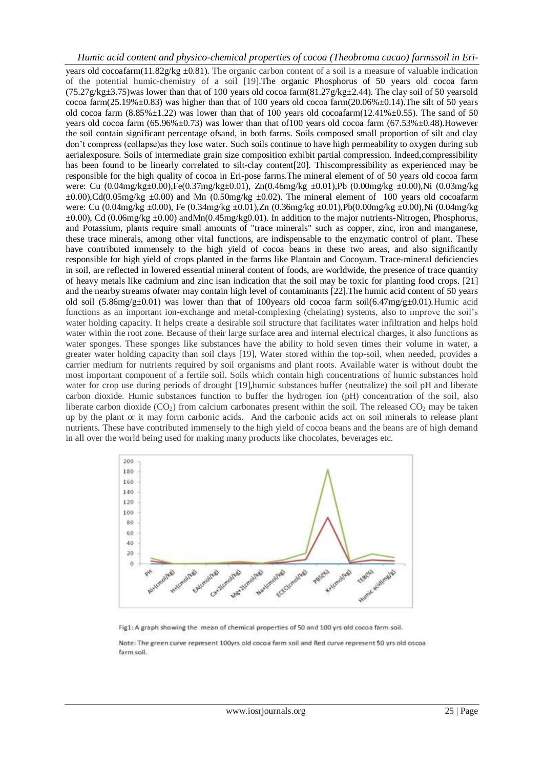# *Humic acid content and physico-chemical properties of cocoa (Theobroma cacao) farmssoil in Eri-*

years old cocoafarm $(11.82g/kg \pm 0.81)$ . The organic carbon content of a soil is a measure of valuable indication of the potential humic-chemistry of a soil [19].The organic Phosphorus of 50 years old cocoa farm  $(75.27g/kg±3.75)$  was lower than that of 100 years old cocoa farm $(81.27g/kg±2.44)$ . The clay soil of 50 yearsold cocoa farm(25.19% $\pm$ 0.83) was higher than that of 100 years old cocoa farm(20.06% $\pm$ 0.14). The silt of 50 years old cocoa farm  $(8.85\% \pm 1.22)$  was lower than that of 100 years old cocoafarm $(12.41\% \pm 0.55)$ . The sand of 50 years old cocoa farm  $(65.96\% \pm 0.73)$  was lower than that of 100 years old cocoa farm  $(67.53\% \pm 0.48)$ . However the soil contain significant percentage ofsand, in both farms. Soils composed small proportion of silt and clay don't compress (collapse)as they lose water. Such soils continue to have high permeability to oxygen during sub aerialexposure. Soils of intermediate grain size composition exhibit partial compression. Indeed,compressibility has been found to be linearly correlated to silt-clay content[20]. Thiscompressibility as experienced may be responsible for the high quality of cocoa in Eri-pose farms.The mineral element of of 50 years old cocoa farm were: Cu (0.04mg/kg±0.00),Fe(0.37mg/kg±0.01), Zn(0.46mg/kg ±0.01),Pb (0.00mg/kg ±0.00),Ni (0.03mg/kg  $\pm 0.00$ ,Cd(0.05mg/kg  $\pm 0.00$ ) and Mn (0.50mg/kg  $\pm 0.02$ ). The mineral element of 100 years old cocoafarm were: Cu (0.04mg/kg ±0.00), Fe (0.34mg/kg ±0.01),Zn (0.36mg/kg ±0.01),Pb(0.00mg/kg ±0.00),Ni (0.04mg/kg  $\pm 0.00$ ), Cd (0.06mg/kg  $\pm 0.00$ ) andMn(0.45mg/kg0.01). In addition to the major nutrients-Nitrogen, Phosphorus, and Potassium, plants require small amounts of "trace minerals" such as copper, zinc, iron and manganese, these trace minerals, among other vital functions, are indispensable to the enzymatic control of plant. These have contributed immensely to the high yield of cocoa beans in these two areas, and also significantly responsible for high yield of crops planted in the farms like Plantain and Cocoyam. Trace-mineral deficiencies in soil, are reflected in lowered essential mineral content of foods, are worldwide, the presence of trace quantity of heavy metals like cadmium and zinc isan indication that the soil may be toxic for planting food crops. [21] and the nearby streams ofwater may contain high level of contaminants [22].The humic acid content of 50 years old soil (5.86mg/g±0.01) was lower than that of 100years old cocoa farm soil(6.47mg/g±0.01). Humic acid functions as an important ion-exchange and metal-complexing (chelating) systems, also to improve the soil's water holding capacity. It helps create a desirable soil structure that facilitates water infiltration and helps hold water within the root zone. Because of their large surface area and internal electrical charges, it also functions as water sponges. These sponges like substances have the ability to hold seven times their volume in water, a greater water holding capacity than soil clays [19], Water stored within the top-soil, when needed, provides a carrier medium for nutrients required by soil organisms and plant roots. Available water is without doubt the most important component of a fertile soil. Soils which contain high concentrations of humic substances hold water for crop use during periods of drought [19], humic substances buffer (neutralize) the soil pH and liberate carbon dioxide. Humic substances function to buffer the hydrogen ion (pH) concentration of the soil, also liberate carbon dioxide  $(CO<sub>2</sub>)$  from calcium carbonates present within the soil. The released  $CO<sub>2</sub>$  may be taken up by the plant or it may form carbonic acids. And the carbonic acids act on soil minerals to release plant nutrients. These have contributed immensely to the high yield of cocoa beans and the beans are of high demand in all over the world being used for making many products like chocolates, beverages etc.



Fig1: A graph showing the mean of chemical properties of 50 and 100 yrs old cocoa farm soil.

Note: The green curve represent 100yrs old cocoa farm soil and Red curve represent 50 yrs old cocoa farm soil.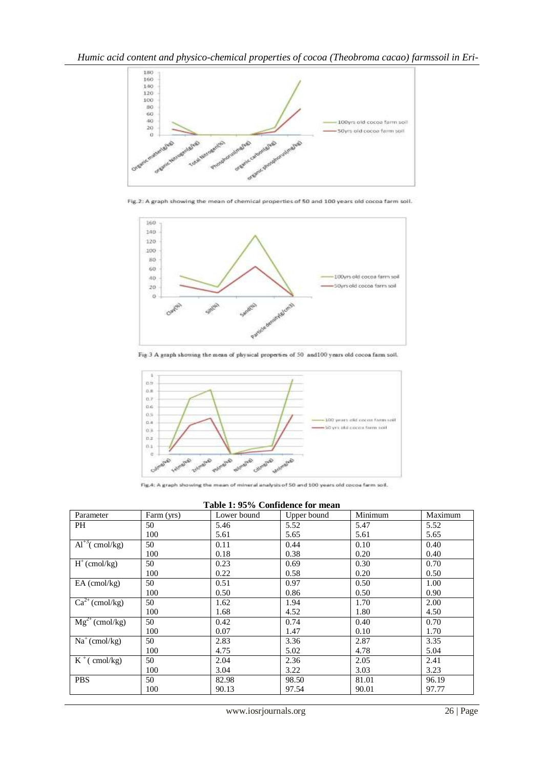

Fig.2: A graph showing the mean of chemical properties of 50 and 100 years old cocoa farm soil.



Fig.3 A graph showing the mean of physical properties of 50 and 100 years old cocoa farm soil.



Fig.4: A graph showing the mean of mineral analysis of 50 and 100 years old cocoa farm soil.

**Table 1: 95% Confidence for mean**

| Parameter                                   | Farm (yrs) | Lower bound | Upper bound | Minimum | Maximum |
|---------------------------------------------|------------|-------------|-------------|---------|---------|
| PH                                          | 50         | 5.46        | 5.52        | 5.47    | 5.52    |
|                                             | 100        | 5.61        | 5.65        | 5.61    | 5.65    |
| $Al^{+3}$ (cmol/kg)                         | 50         | 0.11        | 0.44        | 0.10    | 0.40    |
|                                             | 100        | 0.18        | 0.38        | 0.20    | 0.40    |
| $H^+(cmol/kg)$                              | 50         | 0.23        | 0.69        | 0.30    | 0.70    |
|                                             | 100        | 0.22        | 0.58        | 0.20    | 0.50    |
| $EA$ (cmol/kg)                              | 50         | 0.51        | 0.97        | 0.50    | 1.00    |
|                                             | 100        | 0.50        | 0.86        | 0.50    | 0.90    |
| $Ca^{2+}$ (cmol/kg)                         | 50         | 1.62        | 1.94        | 1.70    | 2.00    |
|                                             | 100        | 1.68        | 4.52        | 1.80    | 4.50    |
| $\overline{\text{Mg}^{2+}(\text{cmol/kg})}$ | 50         | 0.42        | 0.74        | 0.40    | 0.70    |
|                                             | 100        | 0.07        | 1.47        | 0.10    | 1.70    |
| $Na^+$ (cmol/kg)                            | 50         | 2.83        | 3.36        | 2.87    | 3.35    |
|                                             | 100        | 4.75        | 5.02        | 4.78    | 5.04    |
| $K^+$ (cmol/kg)                             | 50         | 2.04        | 2.36        | 2.05    | 2.41    |
|                                             | 100        | 3.04        | 3.22        | 3.03    | 3.23    |
| <b>PBS</b>                                  | 50         | 82.98       | 98.50       | 81.01   | 96.19   |
|                                             | 100        | 90.13       | 97.54       | 90.01   | 97.77   |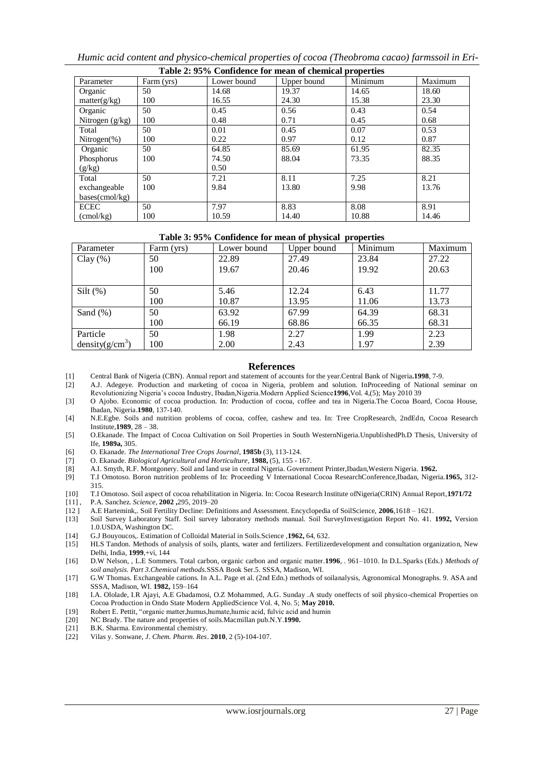*Humic acid content and physico-chemical properties of cocoa (Theobroma cacao) farmssoil in Eri-*

| Table 2: 95% Confidence for mean of chemical properties |            |             |             |         |         |  |  |
|---------------------------------------------------------|------------|-------------|-------------|---------|---------|--|--|
| Parameter                                               | Farm (yrs) | Lower bound | Upper bound | Minimum | Maximum |  |  |
| Organic                                                 | 50         | 14.68       | 19.37       | 14.65   | 18.60   |  |  |
| matter(g/kg)                                            | 100        | 16.55       | 24.30       | 15.38   | 23.30   |  |  |
| Organic                                                 | 50         | 0.45        | 0.56        | 0.43    | 0.54    |  |  |
| Nitrogen $(g/kg)$                                       | 100        | 0.48        | 0.71        | 0.45    | 0.68    |  |  |
| Total                                                   | 50         | 0.01        | 0.45        | 0.07    | 0.53    |  |  |
| Nitrogen $(\%)$                                         | 100        | 0.22        | 0.97        | 0.12    | 0.87    |  |  |
| Organic                                                 | 50         | 64.85       | 85.69       | 61.95   | 82.35   |  |  |
| Phosphorus                                              | 100        | 74.50       | 88.04       | 73.35   | 88.35   |  |  |
| (g/kg)                                                  |            | 0.50        |             |         |         |  |  |
| Total                                                   | 50         | 7.21        | 8.11        | 7.25    | 8.21    |  |  |
| exchangeable                                            | 100        | 9.84        | 13.80       | 9.98    | 13.76   |  |  |
| $bases$ (cmol/kg)                                       |            |             |             |         |         |  |  |
| <b>ECEC</b>                                             | 50         | 7.97        | 8.83        | 8.08    | 8.91    |  |  |
| $\text{cmol/kg}$                                        | 100        | 10.59       | 14.40       | 10.88   | 14.46   |  |  |

## **Table 3: 95% Confidence for mean of physical properties**

| Parameter                   | Farm (yrs) | Lower bound | Upper bound | Minimum | Maximum |
|-----------------------------|------------|-------------|-------------|---------|---------|
| Clay $(\% )$                | 50         | 22.89       | 27.49       | 23.84   | 27.22   |
|                             | 100        | 19.67       | 20.46       | 19.92   | 20.63   |
|                             |            |             |             |         |         |
| $Silt$ (%)                  | 50         | 5.46        | 12.24       | 6.43    | 11.77   |
|                             | 100        | 10.87       | 13.95       | 11.06   | 13.73   |
| Sand $(\%)$                 | 50         | 63.92       | 67.99       | 64.39   | 68.31   |
|                             | 100        | 66.19       | 68.86       | 66.35   | 68.31   |
| Particle                    | 50         | 1.98        | 2.27        | 1.99    | 2.23    |
| density(g/cm <sup>3</sup> ) | 100        | 2.00        | 2.43        | 1.97    | 2.39    |

## **References**

- [1] Central Bank of Nigeria (CBN). Annual report and statement of accounts for the year.Central Bank of Nigeria**.1998**, 7-9.
- [2] A.J. Adegeye. Production and marketing of cocoa in Nigeria, problem and solution. InProceeding of National seminar on Revolutionizing Nigeria's cocoa Industry, Ibadan,Nigeria.Modern Applied Science**1996**,Vol. 4,(5); May 2010 39
- [3] O Ajobo. Economic of cocoa production. In: Production of cocoa, coffee and tea in Nigeria.The Cocoa Board, Cocoa House, Ibadan, Nigeria.**1980**, 137-140.
- [4] N.E.Egbe. Soils and nutrition problems of cocoa, coffee, cashew and tea. In: Tree CropResearch, 2ndEdn, Cocoa Research Institute,**1989**, 28 – 38.
- [5] O.Ekanade. The Impact of Cocoa Cultivation on Soil Properties in South WesternNigeria.UnpublishedPh.D Thesis, University of Ife, **1989a,** 305.
- [6] O. Ekanade. *The International Tree Crops Journal*, **1985b** (3), 113-124.
- [7] O. Ekanade. *Biological Agricultural and Horticulture*, **1988,** (5), 155 167.
- [8] A.I. Smyth, R.F. Montgonery. Soil and land use in central Nigeria. Government Printer,Ibadan,Western Nigeria. **1962.**
- [9] T.I Omotoso. Boron nutrition problems of In: Proceeding V International Cocoa ResearchConference,Ibadan, Nigeria.**1965,** 312- 315.
- [10] T.I Omotoso. Soil aspect of cocoa rehabilitation in Nigeria. In: Cocoa Research Institute ofNigeria(CRIN) Annual Report,**1971/72**
- [11] , P.A. Sanchez. *Science*, **2002 ,**295, 2019–20
- [12 ] A.E Hartemink,. Soil Fertility Decline: Definitions and Assessment. Encyclopedia of SoilScience, **2006**,1618 1621.
- [13] Soil Survey Laboratory Staff. Soil survey laboratory methods manual. Soil SurveyInvestigation Report No. 41. **1992,** Version 1.0.USDA, Washington DC.
- [14] G.J Bouyoucos,. Estimation of Colloidal Material in Soils.Science ,**1962,** 64, 632.
- [15] HLS Tandon. Methods of analysis of soils, plants, water and fertilizers. Fertilizerdevelopment and consultation organization, New Delhi, India, **1999**,+vi, 144
- [16] D.W Nelson, , L.E Sommers. Total carbon, organic carbon and organic matter.**1996**, . 961–1010. In D.L.Sparks (Eds.) *Methods of soil analysis. Part 3.Chemical methods.*SSSA Book Ser.5. SSSA, Madison, WI.
- [17] G.W Thomas. Exchangeable cations. In A.L. Page et al. (2nd Edn.) methods of soilanalysis, Agronomical Monographs. 9. ASA and SSSA, Madison, WI. **1982,** 159–164
- [18] I.A. Ololade, I.R Ajayi, A.E Gbadamosi, O.Z Mohammed, A.G. Sunday .A study oneffects of soil physico-chemical Properties on Cocoa Production in Ondo State Modern AppliedScience Vol. 4, No. 5; **May 2010.**
- [19] Robert E. Pettit, "organic matter,humus,humate,humic acid, fulvic acid and humin
- [20] NC Brady. The nature and properties of soils.Macmillan pub.N.Y.**1990.**
- [21] B.K. Sharma. Environmental chemistry.
- [22] Vilas y. Sonwane, *J. Chem. Pharm. Res*. **2010**, 2 (5)-104-107.